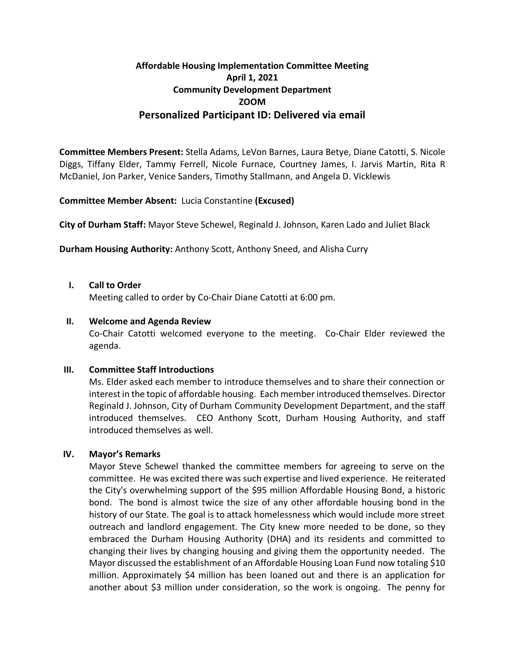# **Affordable Housing Implementation Committee Meeting April 1, 2021 Community Development Department ZOOM Personalized Participant ID: Delivered via email**

**Committee Members Present:** Stella Adams, LeVon Barnes, Laura Betye, Diane Catotti, S. Nicole Diggs, Tiffany Elder, Tammy Ferrell, Nicole Furnace, Courtney James, I. Jarvis Martin, Rita R McDaniel, Jon Parker, Venice Sanders, Timothy Stallmann, and Angela D. Vicklewis

# **Committee Member Absent:** Lucia Constantine **(Excused)**

**City of Durham Staff:** Mayor Steve Schewel, Reginald J. Johnson, Karen Lado and Juliet Black

**Durham Housing Authority:** Anthony Scott, Anthony Sneed, and Alisha Curry

# **I. Call to Order**

Meeting called to order by Co-Chair Diane Catotti at 6:00 pm.

## **II. Welcome and Agenda Review**

Co-Chair Catotti welcomed everyone to the meeting. Co-Chair Elder reviewed the agenda.

# **III. Committee Staff Introductions**

Ms. Elder asked each member to introduce themselves and to share their connection or interest in the topic of affordable housing. Each member introduced themselves. Director Reginald J. Johnson, City of Durham Community Development Department, and the staff introduced themselves. CEO Anthony Scott, Durham Housing Authority, and staff introduced themselves as well.

# **IV. Mayor's Remarks**

Mayor Steve Schewel thanked the committee members for agreeing to serve on the committee. He was excited there was such expertise and lived experience. He reiterated the City's overwhelming support of the \$95 million Affordable Housing Bond, a historic bond. The bond is almost twice the size of any other affordable housing bond in the history of our State. The goal is to attack homelessness which would include more street outreach and landlord engagement. The City knew more needed to be done, so they embraced the Durham Housing Authority (DHA) and its residents and committed to changing their lives by changing housing and giving them the opportunity needed. The Mayor discussed the establishment of an Affordable Housing Loan Fund now totaling \$10 million. Approximately \$4 million has been loaned out and there is an application for another about \$3 million under consideration, so the work is ongoing. The penny for